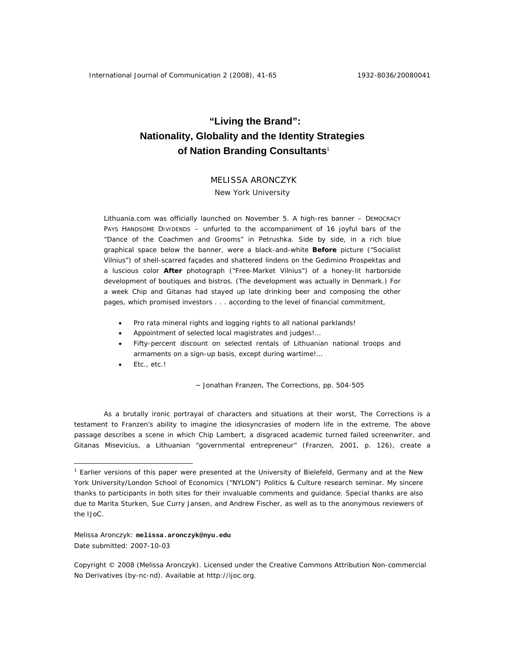# **"Living the Brand": Nationality, Globality and the Identity Strategies of Nation Branding Consultants**<sup>1</sup>

## MELISSA ARONCZYK

#### New York University

Lithuania.com was officially launched on November 5. A high-res banner – DEMOCRACY PAYS HANDSOME DIVIDENDS – unfurled to the accompaniment of 16 joyful bars of the "Dance of the Coachmen and Grooms" in *Petrushka*. Side by side, in a rich blue graphical space below the banner, were a black-and-white *Before* picture ("Socialist Vilnius") of shell-scarred façades and shattered lindens on the Gedimino Prospektas and a luscious color *After* photograph ("Free-Market Vilnius") of a honey-lit harborside development of boutiques and bistros. (The development was actually in Denmark.) For a week Chip and Gitanas had stayed up late drinking beer and composing the other pages, which promised investors . . . according to the level of financial commitment,

- Pro rata mineral rights and logging rights to all national parklands!
- Appointment of selected local magistrates and judges!…
- Fifty-percent discount on selected rentals of Lithuanian national troops and armaments on a sign-up basis, except during wartime!…
- Etc., etc.!

 $\overline{a}$ 

~ Jonathan Franzen, *The Corrections,* pp. 504-505

As a brutally ironic portrayal of characters and situations at their worst, *The Corrections* is a testament to Franzen's ability to imagine the idiosyncrasies of modern life in the extreme. The above passage describes a scene in which Chip Lambert, a disgraced academic turned failed screenwriter, and Gitanas Misevicius, a Lithuanian "governmental entrepreneur" (Franzen, 2001, p. 126), create a

### Melissa Aronczyk: **melissa.aronczyk@nyu.edu** Date submitted: 2007-10-03

Copyright © 2008 (Melissa Aronczyk). Licensed under the Creative Commons Attribution Non-commercial No Derivatives (by-nc-nd). Available at http://ijoc.org.

<sup>&</sup>lt;sup>1</sup> Earlier versions of this paper were presented at the University of Bielefeld, Germany and at the New York University/London School of Economics ("NYLON") Politics & Culture research seminar. My sincere thanks to participants in both sites for their invaluable comments and guidance. Special thanks are also due to Marita Sturken, Sue Curry Jansen, and Andrew Fischer, as well as to the anonymous reviewers of the IJoC.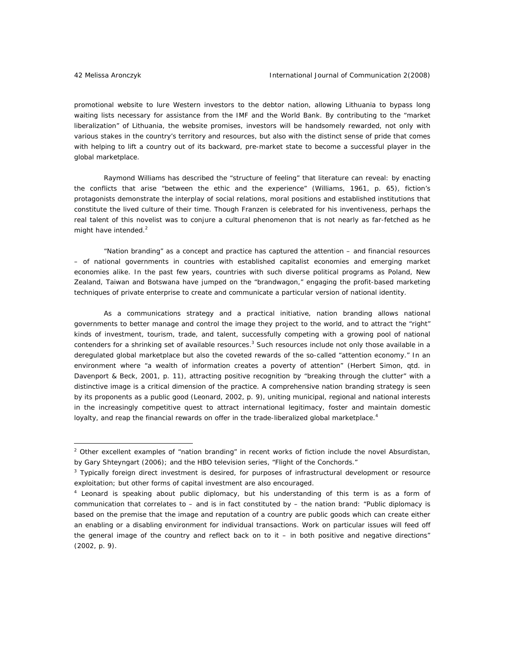promotional website to lure Western investors to the debtor nation, allowing Lithuania to bypass long waiting lists necessary for assistance from the IMF and the World Bank. By contributing to the "market liberalization" of Lithuania, the website promises, investors will be handsomely rewarded, not only with various stakes in the country's territory and resources, but also with the distinct sense of pride that comes with helping to lift a country out of its backward, pre-market state to become a successful player in the global marketplace.

Raymond Williams has described the "structure of feeling" that literature can reveal: by enacting the conflicts that arise "between the ethic and the experience" (Williams, 1961, p. 65), fiction's protagonists demonstrate the interplay of social relations, moral positions and established institutions that constitute the lived culture of their time. Though Franzen is celebrated for his inventiveness, perhaps the real talent of this novelist was to conjure a cultural phenomenon that is not nearly as far-fetched as he might have intended. $2$ 

"Nation branding" as a concept and practice has captured the attention – and financial resources – of national governments in countries with established capitalist economies and emerging market economies alike. In the past few years, countries with such diverse political programs as Poland, New Zealand, Taiwan and Botswana have jumped on the "brandwagon," engaging the profit-based marketing techniques of private enterprise to create and communicate a particular version of national identity.

As a communications strategy and a practical initiative, nation branding allows national governments to better manage and control the image they project to the world, and to attract the "right" kinds of investment, tourism, trade, and talent, successfully competing with a growing pool of national contenders for a shrinking set of available resources.<sup>3</sup> Such resources include not only those available in a deregulated global marketplace but also the coveted rewards of the so-called "attention economy." In an environment where "a wealth of information creates a poverty of attention" (Herbert Simon, qtd. in Davenport & Beck, 2001, p. 11), attracting positive recognition by "breaking through the clutter" with a distinctive image is a critical dimension of the practice. A comprehensive nation branding strategy is seen by its proponents as a *public good* (Leonard, 2002, p. 9), uniting municipal, regional and national interests in the increasingly competitive quest to attract international legitimacy, foster and maintain domestic loyalty, and reap the financial rewards on offer in the trade-liberalized global marketplace.<sup>4</sup>

<sup>2</sup> Other excellent examples of "nation branding" in recent works of fiction include the novel *Absurdistan,* by Gary Shteyngart (2006); and the HBO television series, "Flight of the Conchords."

<sup>&</sup>lt;sup>3</sup> Typically foreign direct investment is desired, for purposes of infrastructural development or resource exploitation; but other forms of capital investment are also encouraged.

<sup>4</sup> Leonard is speaking about public diplomacy, but his understanding of this term is as a form of communication that correlates to – and is in fact constituted by – the nation brand: "Public diplomacy is based on the premise that the image and reputation of a country are public goods which can create either an enabling or a disabling environment for individual transactions. Work on particular issues will feed off the general image of the country and reflect back on to it – in both positive and negative directions" (2002, p. 9).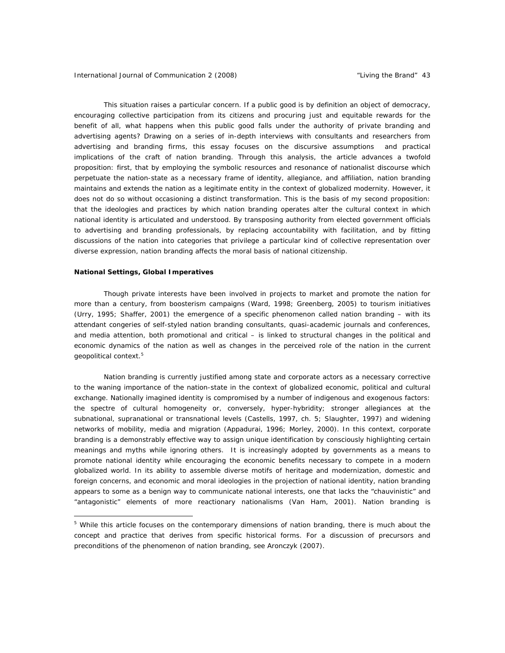This situation raises a particular concern. If a public good is by definition an object of democracy, encouraging collective participation from its citizens and procuring just and equitable rewards for the benefit of all, what happens when this *public* good falls under the authority of *private* branding and advertising agents? Drawing on a series of in-depth interviews with consultants and researchers from advertising and branding firms, this essay focuses on the discursive assumptions and practical implications of the craft of nation branding. Through this analysis, the article advances a twofold proposition: first, that by employing the symbolic resources and resonance of nationalist discourse which perpetuate the nation-state as a necessary frame of identity, allegiance, and affiliation, nation branding maintains and extends the nation as a legitimate entity in the context of globalized modernity. However, it does not do so without occasioning a distinct transformation. This is the basis of my second proposition: that the ideologies and practices by which nation branding operates alter the cultural context in which national identity is articulated and understood. By transposing authority from elected government officials to advertising and branding professionals, by replacing accountability with facilitation, and by fitting discussions of the nation into categories that privilege a particular kind of collective representation over diverse expression, nation branding affects the moral basis of national citizenship.

#### *National Settings, Global Imperatives*

 $\overline{a}$ 

Though private interests have been involved in projects to market and promote the nation for more than a century, from boosterism campaigns (Ward, 1998; Greenberg, 2005) to tourism initiatives (Urry, 1995; Shaffer, 2001) the emergence of a specific phenomenon called nation branding – with its attendant congeries of self-styled nation branding consultants, quasi-academic journals and conferences, and media attention, both promotional and critical – is linked to structural changes in the political and economic dynamics of the nation as well as changes in the perceived role of the nation in the current geopolitical context.<sup>5</sup>

Nation branding is currently justified among state and corporate actors as a necessary corrective to the waning importance of the nation-state in the context of globalized economic, political and cultural exchange. Nationally imagined identity is compromised by a number of indigenous and exogenous factors: the spectre of cultural homogeneity or, conversely, hyper-hybridity; stronger allegiances at the subnational, supranational or transnational levels (Castells, 1997, ch. 5; Slaughter, 1997) and widening networks of mobility, media and migration (Appadurai, 1996; Morley, 2000). In this context, corporate branding is a demonstrably effective way to assign unique identification by consciously highlighting certain meanings and myths while ignoring others. It is increasingly adopted by governments as a means to promote national identity while encouraging the economic benefits necessary to compete in a modern globalized world. In its ability to assemble diverse motifs of heritage and modernization, domestic and foreign concerns, and economic and moral ideologies in the projection of national identity, nation branding appears to some as a benign way to communicate national interests, one that lacks the "chauvinistic" and "antagonistic" elements of more reactionary nationalisms (Van Ham, 2001). Nation branding is

<sup>&</sup>lt;sup>5</sup> While this article focuses on the contemporary dimensions of nation branding, there is much about the concept and practice that derives from specific historical forms. For a discussion of precursors and preconditions of the phenomenon of nation branding, see Aronczyk (2007).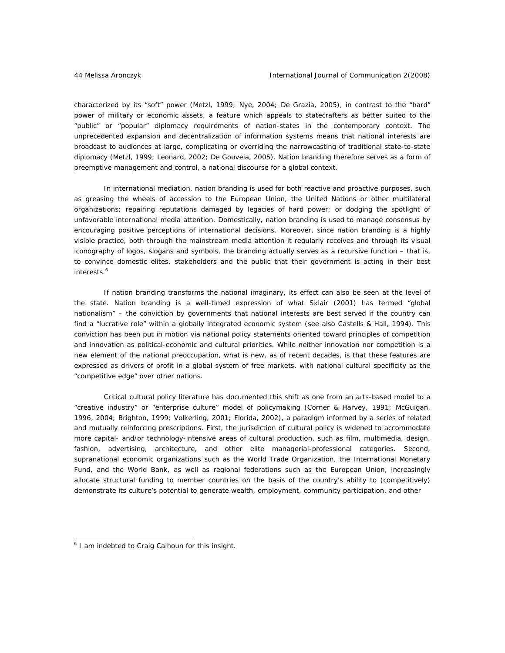characterized by its "soft" power (Metzl, 1999; Nye, 2004; De Grazia, 2005), in contrast to the "hard" power of military or economic assets, a feature which appeals to statecrafters as better suited to the "public" or "popular" diplomacy requirements of nation-states in the contemporary context. The unprecedented expansion and decentralization of information systems means that national interests are broadcast to audiences at large, complicating or overriding the narrowcasting of traditional state-to-state diplomacy (Metzl, 1999; Leonard, 2002; De Gouveia, 2005). Nation branding therefore serves as a form of preemptive management and control, a national discourse for a global context.

In international mediation, nation branding is used for both reactive and proactive purposes, such as greasing the wheels of accession to the European Union, the United Nations or other multilateral organizations; repairing reputations damaged by legacies of hard power; or dodging the spotlight of unfavorable international media attention. Domestically, nation branding is used to manage consensus by encouraging positive perceptions of international decisions. Moreover, since nation branding is a highly visible practice, both through the mainstream media attention it regularly receives and through its visual iconography of logos, slogans and symbols, the branding actually serves as a recursive function – that is, to convince domestic elites, stakeholders and the public that their government is acting in their best interests.<sup>6</sup>

If nation branding transforms the national imaginary, its effect can also be seen at the level of the state. Nation branding is a well-timed expression of what Sklair (2001) has termed "global nationalism" – the conviction by governments that national interests are best served if the country can find a "lucrative role" within a globally integrated economic system (see also Castells & Hall, 1994). This conviction has been put in motion via national policy statements oriented toward principles of competition and innovation as political-economic and cultural priorities. While neither innovation nor competition is a new element of the national preoccupation, what *is* new, as of recent decades, is that these features are expressed as drivers of profit in a global system of free markets, with national cultural specificity as the "competitive edge" over other nations.

Critical cultural policy literature has documented this shift as one from an arts-based model to a "creative industry" or "enterprise culture" model of policymaking (Corner & Harvey, 1991; McGuigan, 1996, 2004; Brighton, 1999; Volkerling, 2001; Florida, 2002), a paradigm informed by a series of related and mutually reinforcing prescriptions. First, the jurisdiction of cultural policy is widened to accommodate more capital- and/or technology-intensive areas of cultural production, such as film, multimedia, design, fashion, advertising, architecture, and other elite managerial-professional categories. Second, supranational economic organizations such as the World Trade Organization, the International Monetary Fund, and the World Bank, as well as regional federations such as the European Union, increasingly allocate structural funding to member countries on the basis of the country's ability to (competitively) demonstrate its culture's potential to generate wealth, employment, community participation, and other

 $\overline{a}$ 

<sup>&</sup>lt;sup>6</sup> I am indebted to Craig Calhoun for this insight.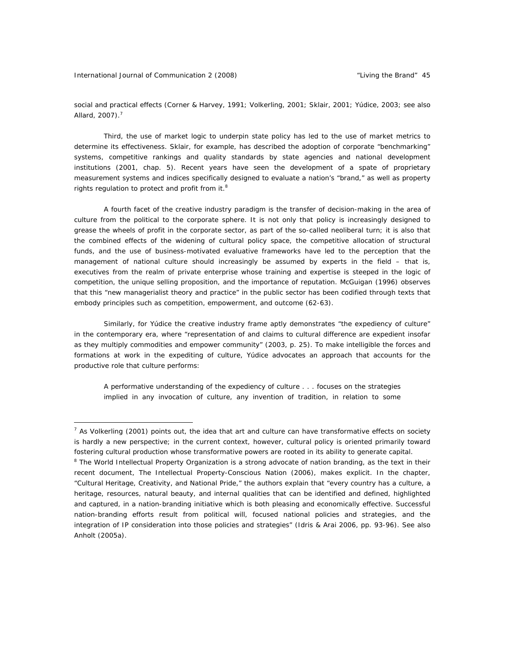social and practical effects (Corner & Harvey, 1991; Volkerling, 2001; Sklair, 2001; Yúdice, 2003; see also Allard, 2007). $^7$ 

Third, the use of market logic to underpin state policy has led to the use of market metrics to determine its effectiveness. Sklair, for example, has described the adoption of corporate "benchmarking" systems, competitive rankings and quality standards by state agencies and national development institutions (2001, chap. 5). Recent years have seen the development of a spate of proprietary measurement systems and indices specifically designed to evaluate a nation's "brand," as well as property rights regulation to protect and profit from it. $8$ 

A fourth facet of the creative industry paradigm is the transfer of decision-making in the area of culture from the political to the corporate sphere. It is not only that policy is increasingly designed to grease the wheels of profit in the corporate sector, as part of the so-called neoliberal turn; it is also that the combined effects of the widening of cultural policy space, the competitive allocation of structural funds, and the use of business-motivated evaluative frameworks have led to the perception that the management of national culture should increasingly be assumed by experts in the field – that is, executives from the realm of private enterprise whose training and expertise is steeped in the logic of competition, the unique selling proposition, and the importance of reputation. McGuigan (1996) observes that this "new managerialist theory and practice" in the public sector has been codified through texts that embody principles such as competition, empowerment, and outcome (62-63).

Similarly, for Yúdice the creative industry frame aptly demonstrates "the expediency of culture" in the contemporary era, where "representation of and claims to cultural difference are expedient insofar as they multiply commodities and empower community" (2003, p. 25). To make intelligible the forces and formations at work in the expediting of culture, Yúdice advocates an approach that accounts for the productive role that culture performs:

*A performative understanding of the expediency of culture . . . focuses on the strategies implied in any invocation of culture, any invention of tradition, in relation to some* 

 $^7$  As Volkerling (2001) points out, the idea that art and culture can have transformative effects on society is hardly a new perspective; in the current context, however, cultural policy is oriented primarily toward fostering cultural production whose transformative powers are rooted in its ability to generate capital.

<sup>&</sup>lt;sup>8</sup> The World Intellectual Property Organization is a strong advocate of nation branding, as the text in their recent document, *The Intellectual Property-Conscious Nation* (2006), makes explicit. In the chapter, "Cultural Heritage, Creativity, and National Pride," the authors explain that "every country has a culture, a heritage, resources, natural beauty, and internal qualities that can be identified and defined, highlighted and captured, in a nation-branding initiative which is both pleasing and economically effective. Successful nation-branding efforts result from political will, focused national policies and strategies, and the integration of IP consideration into those policies and strategies" (Idris & Arai 2006, pp. 93-96). See also Anholt (2005a).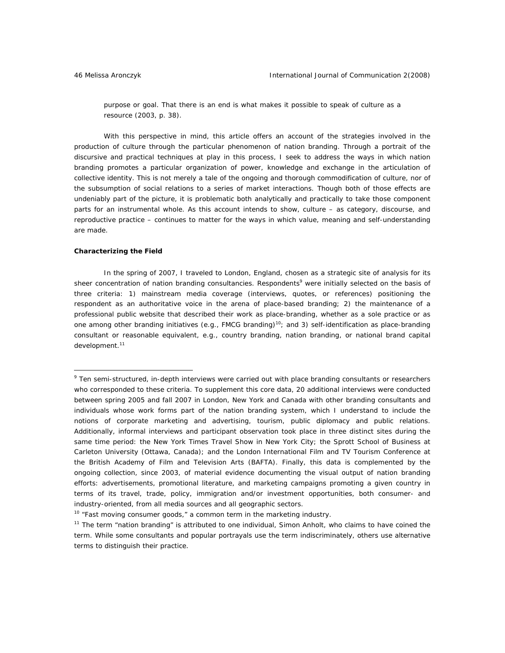*purpose or goal. That there is an end is what makes it possible to speak of culture as a resource (2003, p. 38).* 

With this perspective in mind, this article offers an account of the strategies involved in the production of culture through the particular phenomenon of nation branding. Through a portrait of the discursive and practical techniques at play in this process, I seek to address the ways in which nation branding promotes a particular organization of power, knowledge and exchange in the articulation of collective identity. This is not merely a tale of the ongoing and thorough commodification of culture, nor of the subsumption of social relations to a series of market interactions. Though both of those effects are undeniably part of the picture, it is problematic both analytically and practically to take those component parts for an instrumental whole. As this account intends to show, culture – as category, discourse, and reproductive practice – continues to matter for the ways in which value, meaning and self-understanding are made.

#### *Characterizing the Field*

 $\overline{a}$ 

In the spring of 2007, I traveled to London, England, chosen as a strategic site of analysis for its sheer concentration of nation branding consultancies. Respondents<sup>9</sup> were initially selected on the basis of three criteria: 1) mainstream media coverage (interviews, quotes, or references) positioning the respondent as an authoritative voice in the arena of place-based branding; 2) the maintenance of a professional public website that described their work as place-branding, whether as a sole practice or as one among other branding initiatives (e.g., FMCG branding)<sup>10</sup>; and 3) self-identification as place-branding consultant or reasonable equivalent, e.g., country branding, nation branding, or national brand capital development.<sup>11</sup>

<sup>&</sup>lt;sup>9</sup> Ten semi-structured, in-depth interviews were carried out with place branding consultants or researchers who corresponded to these criteria. To supplement this core data, 20 additional interviews were conducted between spring 2005 and fall 2007 in London, New York and Canada with other branding consultants and individuals whose work forms part of the nation branding system, which I understand to include the notions of corporate marketing and advertising, tourism, public diplomacy and public relations. Additionally, informal interviews and participant observation took place in three distinct sites during the same time period: the *New York Times* Travel Show in New York City; the Sprott School of Business at Carleton University (Ottawa, Canada); and the London International Film and TV Tourism Conference at the British Academy of Film and Television Arts (BAFTA). Finally, this data is complemented by the ongoing collection, since 2003, of material evidence documenting the visual output of nation branding efforts: advertisements, promotional literature, and marketing campaigns promoting a given country in terms of its travel, trade, policy, immigration and/or investment opportunities, both consumer- and industry-oriented, from all media sources and all geographic sectors.

 $10$  "Fast moving consumer goods," a common term in the marketing industry.

 $11$  The term "nation branding" is attributed to one individual, Simon Anholt, who claims to have coined the term. While some consultants and popular portrayals use the term indiscriminately, others use alternative terms to distinguish their practice.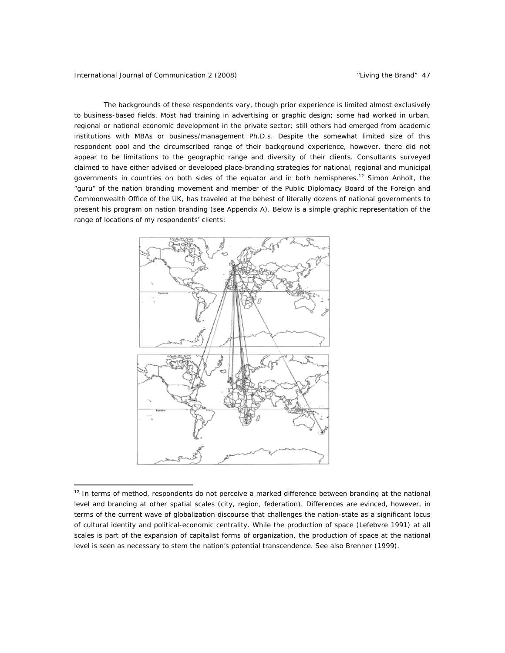The backgrounds of these respondents vary, though prior experience is limited almost exclusively to business-based fields. Most had training in advertising or graphic design; some had worked in urban, regional or national economic development in the private sector; still others had emerged from academic institutions with MBAs or business/management Ph.D.s. Despite the somewhat limited size of this respondent pool and the circumscribed range of their background experience, however, there did not appear to be limitations to the geographic range and diversity of their clients. Consultants surveyed claimed to have either advised or developed place-branding strategies for national, regional and municipal governments in countries on both sides of the equator and in both hemispheres.<sup>12</sup> Simon Anholt, the "guru" of the nation branding movement and member of the Public Diplomacy Board of the Foreign and Commonwealth Office of the UK, has traveled at the behest of literally dozens of national governments to present his program on nation branding (see Appendix A). Below is a simple graphic representation of the range of locations of my respondents' clients:



 $12$  In terms of method, respondents do not perceive a marked difference between branding at the national level and branding at other spatial scales (city, region, federation). Differences are evinced, however, in terms of the current wave of globalization discourse that challenges the nation-state as a significant locus of cultural identity and political-economic centrality. While the production of space (Lefebvre 1991) at all scales is part of the expansion of capitalist forms of organization, the production of space at the national level is seen as necessary to stem the nation's potential transcendence. See also Brenner (1999).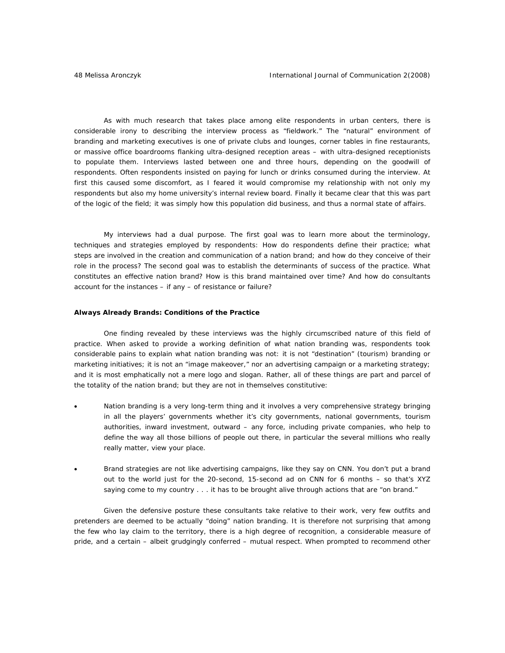As with much research that takes place among elite respondents in urban centers, there is considerable irony to describing the interview process as "fieldwork." The "natural" environment of branding and marketing executives is one of private clubs and lounges, corner tables in fine restaurants, or massive office boardrooms flanking ultra-designed reception areas – with ultra-designed receptionists to populate them. Interviews lasted between one and three hours, depending on the goodwill of respondents. Often respondents insisted on paying for lunch or drinks consumed during the interview. At first this caused some discomfort, as I feared it would compromise my relationship with not only my respondents but also my home university's internal review board. Finally it became clear that this was part of the logic of the field; it was simply how this population did business, and thus a normal state of affairs.

My interviews had a dual purpose. The first goal was to learn more about the terminology, techniques and strategies employed by respondents: How do respondents define their practice; what steps are involved in the creation and communication of a nation brand; and how do they conceive of their role in the process? The second goal was to establish the determinants of success of the practice. What constitutes an effective nation brand? How is this brand maintained over time? And how do consultants account for the instances – if any – of resistance or failure?

#### *Always Already Brands: Conditions of the Practice*

One finding revealed by these interviews was the highly circumscribed nature of this field of practice. When asked to provide a working definition of what nation branding was, respondents took considerable pains to explain what nation branding was *not*: it is not "destination" (tourism) branding or marketing initiatives; it is not an "image makeover," nor an advertising campaign or a marketing strategy; and it is most emphatically *not* a mere logo and slogan. Rather, all of these things are part and parcel of the totality of the nation brand; but they are not in themselves constitutive:

- *Nation branding is a very long-term thing and it involves a very comprehensive strategy bringing in all the players' governments whether it's city governments, national governments, tourism authorities, inward investment, outward – any force, including private companies, who help to define the way all those billions of people out there, in particular the several millions who really really matter, view your place.*
- *Brand strategies are not like advertising campaigns, like they say on CNN. You don't put a brand out to the world just for the 20-second, 15-second ad on CNN for 6 months – so that's XYZ saying come to my country . . . it has to be brought alive through actions that are "on brand."*

Given the defensive posture these consultants take relative to their work, very few outfits and pretenders are deemed to be actually "doing" nation branding. It is therefore not surprising that among the few who lay claim to the territory, there is a high degree of recognition, a considerable measure of pride, and a certain – albeit grudgingly conferred – mutual respect. When prompted to recommend other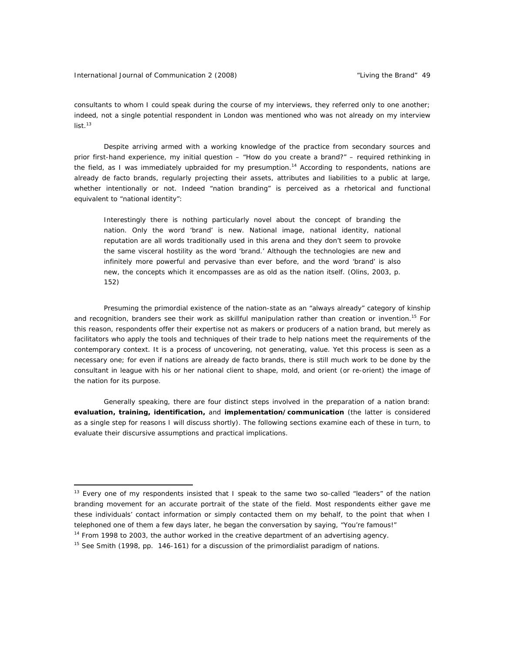consultants to whom I could speak during the course of my interviews, they referred only to one another; indeed, not a single potential respondent in London was mentioned who was not already on my interview  $list.<sup>13</sup>$ 

Despite arriving armed with a working knowledge of the practice from secondary sources and prior first-hand experience, my initial question – "How do you create a brand?" – required rethinking in the field, as I was immediately upbraided for my presumption.<sup>14</sup> According to respondents, nations are *already* de facto brands, regularly projecting their assets, attributes and liabilities to a public at large, whether intentionally or not. Indeed "nation branding" is perceived as a rhetorical and functional equivalent to "national identity":

*Interestingly there is nothing particularly novel about the concept of branding the nation. Only the word 'brand' is new. National image, national identity, national reputation are all words traditionally used in this arena and they don't seem to provoke the same visceral hostility as the word 'brand.' Although the technologies are new and infinitely more powerful and pervasive than ever before, and the word 'brand' is also new, the concepts which it encompasses are as old as the nation itself.* (Olins, 2003, p. 152)

Presuming the primordial existence of the nation-state as an "always already" category of kinship and recognition, branders see their work as skillful manipulation rather than creation or invention.<sup>15</sup> For this reason, respondents offer their expertise not as makers or producers of a nation brand, but merely as facilitators who apply the tools and techniques of their trade to help nations meet the requirements of the contemporary context. It is a process of uncovering, not generating, value. Yet this process is seen as a necessary one; for even if nations are already de facto brands, there is still much work to be done by the consultant in league with his or her national client to shape, mold, and orient (or re-orient) the image of the nation for its purpose.

Generally speaking, there are four distinct steps involved in the preparation of a nation brand: *evaluation, training, identification***,** and *implementation/communication* (the latter is considered as a single step for reasons I will discuss shortly). The following sections examine each of these in turn, to evaluate their discursive assumptions and practical implications.

<sup>&</sup>lt;sup>13</sup> Every one of my respondents insisted that I speak to the same two so-called "leaders" of the nation branding movement for an accurate portrait of the state of the field. Most respondents either gave me these individuals' contact information or simply contacted them on my behalf, to the point that when I telephoned one of them a few days later, he began the conversation by saying, "You're famous!"

 $14$  From 1998 to 2003, the author worked in the creative department of an advertising agency.

<sup>&</sup>lt;sup>15</sup> See Smith (1998, pp. 146-161) for a discussion of the primordialist paradigm of nations.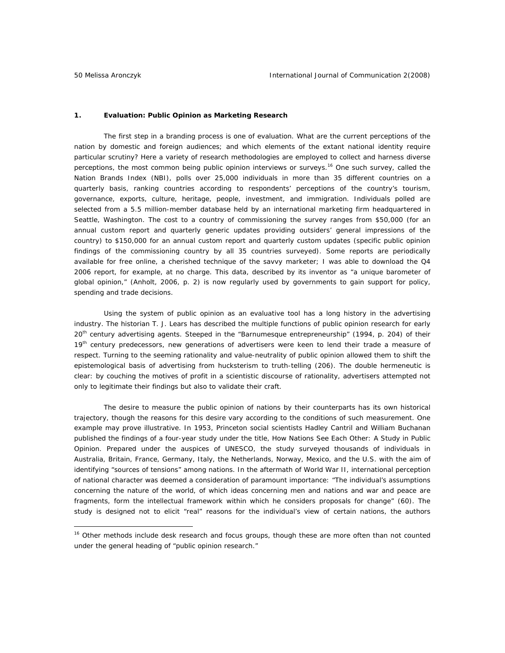#### *1. Evaluation: Public Opinion as Marketing Research*

The first step in a branding process is one of evaluation. What are the current perceptions of the nation by domestic and foreign audiences; and which elements of the extant national identity require particular scrutiny? Here a variety of research methodologies are employed to collect and harness diverse perceptions, the most common being public opinion interviews or surveys.<sup>16</sup> One such survey, called the Nation Brands Index (NBI), polls over 25,000 individuals in more than 35 different countries on a quarterly basis, ranking countries according to respondents' perceptions of the country's tourism, governance, exports, culture, heritage, people, investment, and immigration. Individuals polled are selected from a 5.5 million-member database held by an international marketing firm headquartered in Seattle, Washington. The cost to a country of commissioning the survey ranges from \$50,000 (for an annual custom report and quarterly generic updates providing outsiders' general impressions of the country) to \$150,000 for an annual custom report and quarterly custom updates (specific public opinion findings of the commissioning country by all 35 countries surveyed). Some reports are periodically available for free online, a cherished technique of the savvy marketer; I was able to download the Q4 2006 report, for example, at no charge. This data, described by its inventor as "a unique barometer of global opinion," (Anholt, 2006, p. 2) is now regularly used by governments to gain support for policy, spending and trade decisions.

Using the system of public opinion as an evaluative tool has a long history in the advertising industry. The historian T. J. Lears has described the multiple functions of public opinion research for early 20<sup>th</sup> century advertising agents. Steeped in the "Barnumesque entrepreneurship" (1994, p. 204) of their 19th century predecessors, new generations of advertisers were keen to lend their trade a measure of respect. Turning to the seeming rationality and value-neutrality of public opinion allowed them to shift the epistemological basis of advertising from hucksterism to truth-telling (206). The double hermeneutic is clear: by couching the motives of profit in a scientistic discourse of rationality, advertisers attempted not only to legitimate their findings but also to validate their craft.

The desire to measure the public opinion of nations by their counterparts has its own historical trajectory, though the reasons for this desire vary according to the conditions of such measurement. One example may prove illustrative. In 1953, Princeton social scientists Hadley Cantril and William Buchanan published the findings of a four-year study under the title, *How Nations See Each Other: A Study in Public Opinion.* Prepared under the auspices of UNESCO, the study surveyed thousands of individuals in Australia, Britain, France, Germany, Italy, the Netherlands, Norway, Mexico, and the U.S. with the aim of identifying "sources of tensions" among nations. In the aftermath of World War II, international perception of national character was deemed a consideration of paramount importance: "The individual's assumptions concerning the nature of the world, of which ideas concerning men and nations and war and peace are fragments, form the intellectual framework within which he considers proposals for change" (60). The study is designed not to elicit "real" reasons for the individual's view of certain nations, the authors

<sup>&</sup>lt;sup>16</sup> Other methods include desk research and focus groups, though these are more often than not counted under the general heading of "public opinion research."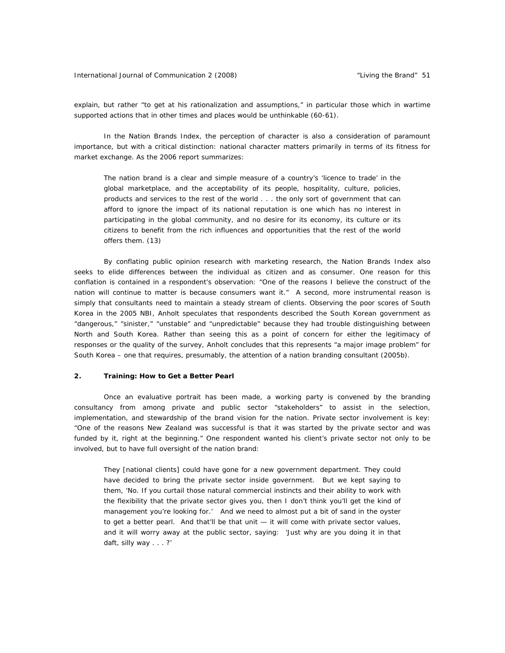explain, but rather "to get at his rationalization and assumptions," in particular those which in wartime supported actions that in other times and places would be unthinkable (60-61).

In the Nation Brands Index, the perception of character is also a consideration of paramount importance, but with a critical distinction: national character matters primarily in terms of its fitness for market exchange. As the 2006 report summarizes:

*The nation brand is a clear and simple measure of a country's 'licence to trade' in the global marketplace, and the acceptability of its people, hospitality, culture, policies, products and services to the rest of the world . . . the only sort of government that can afford to ignore the impact of its national reputation is one which has no interest in participating in the global community, and no desire for its economy, its culture or its citizens to benefit from the rich influences and opportunities that the rest of the world offers them.* (13)

By conflating public opinion research with marketing research, the Nation Brands Index also seeks to elide differences between the individual as citizen and as consumer. One reason for this conflation is contained in a respondent's observation: "One of the reasons I believe the construct of the nation will continue to matter is because consumers want it." A second, more instrumental reason is simply that consultants need to maintain a steady stream of clients. Observing the poor scores of South Korea in the 2005 NBI, Anholt speculates that respondents described the South Korean government as "dangerous," "sinister," "unstable" and "unpredictable" because they had trouble distinguishing between North and South Korea. Rather than seeing this as a point of concern for either the legitimacy of responses or the quality of the survey, Anholt concludes that this represents "a major image problem" for South Korea – one that requires, presumably, the attention of a nation branding consultant (2005b).

#### *2. Training: How to Get a Better Pearl*

Once an evaluative portrait has been made, a working party is convened by the branding consultancy from among private and public sector "stakeholders" to assist in the selection, implementation, and stewardship of the brand vision for the nation. Private sector involvement is key: "One of the reasons New Zealand was successful is that it was started by the private sector and was funded by it, right at the beginning." One respondent wanted his client's private sector not only to be involved, but to have full oversight of the nation brand:

*They [national clients] could have gone for a new government department. They could have decided to bring the private sector inside government. But we kept saying to them, 'No. If you curtail those natural commercial instincts and their ability to work with the flexibility that the private sector gives you, then I don't think you'll get the kind of management you're looking for.' And we need to almost put a bit of sand in the oyster to get a better pearl. And that'll be that unit — it will come with private sector values, and it will worry away at the public sector, saying: 'Just why are you doing it in that daft, silly way . . . ?'*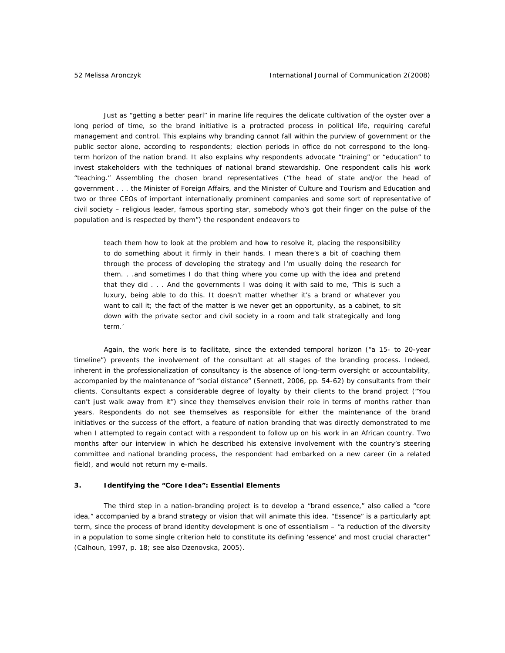Just as "getting a better pearl" in marine life requires the delicate cultivation of the oyster over a long period of time, so the brand initiative is a protracted process in political life, requiring careful management and control. This explains why branding cannot fall within the purview of government or the public sector alone, according to respondents; election periods in office do not correspond to the longterm horizon of the nation brand. It also explains why respondents advocate "training" or "education" to invest stakeholders with the techniques of national brand stewardship. One respondent calls his work "teaching." Assembling the chosen brand representatives ("the head of state and/or the head of government . . . the Minister of Foreign Affairs, and the Minister of Culture and Tourism and Education and two or three CEOs of important internationally prominent companies and some sort of representative of civil society – religious leader, famous sporting star, somebody who's got their finger on the pulse of the population and is respected by them") the respondent endeavors to

*teach them how to look at the problem and how to resolve it, placing the responsibility to do something about it firmly in their hands. I mean there's a bit of coaching them through the process of developing the strategy and I'm usually doing the research for them. . .and sometimes I do that thing where you come up with the idea and pretend that they did . . . And the governments I was doing it with said to me, 'This is such a luxury, being able to do this. It doesn't matter whether it's a brand or whatever you want to call it; the fact of the matter is we never get an opportunity, as a cabinet, to sit down with the private sector and civil society in a room and talk strategically and long term.'* 

Again, the work here is to facilitate, since the extended temporal horizon ("a 15- to 20-year timeline") prevents the involvement of the consultant at all stages of the branding process. Indeed, inherent in the professionalization of consultancy is the absence of long-term oversight or accountability, accompanied by the maintenance of "social distance" (Sennett, 2006, pp. 54-62) by consultants from their clients. Consultants expect a considerable degree of loyalty by their clients to the brand project ("You can't just walk away from it") since they themselves envision their role in terms of months rather than years. Respondents do not see themselves as responsible for either the maintenance of the brand initiatives or the success of the effort, a feature of nation branding that was directly demonstrated to me when I attempted to regain contact with a respondent to follow up on his work in an African country. Two months after our interview in which he described his extensive involvement with the country's steering committee and national branding process, the respondent had embarked on a new career (in a related field), and would not return my e-mails.

### *3. Identifying the "Core Idea": Essential Elements*

The third step in a nation-branding project is to develop a "brand essence," also called a "core idea," accompanied by a brand strategy or vision that will animate this idea. "Essence" is a particularly apt term, since the process of brand identity development is one of essentialism – "a reduction of the diversity in a population to some single criterion held to constitute its defining 'essence' and most crucial character" (Calhoun, 1997, p. 18; see also Dzenovska, 2005).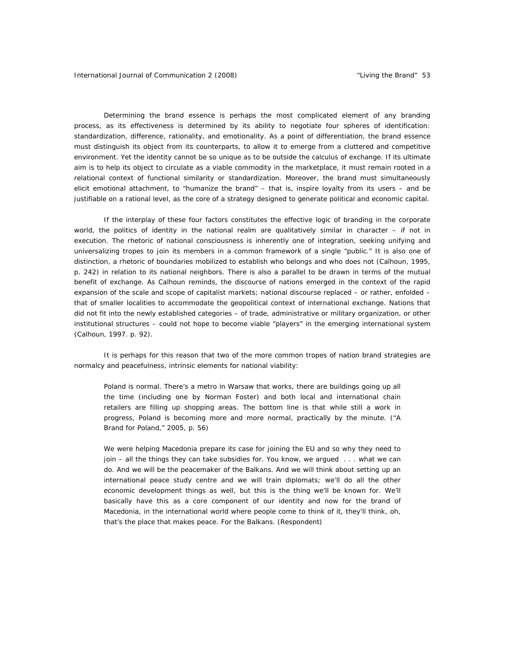Determining the brand essence is perhaps the most complicated element of any branding process, as its effectiveness is determined by its ability to negotiate four spheres of identification: standardization, difference, rationality, and emotionality. As a point of *differentiation*, the brand essence must distinguish its object from its counterparts, to allow it to emerge from a cluttered and competitive environment. Yet the identity cannot be so unique as to be outside the calculus of exchange. If its ultimate aim is to help its object to circulate as a viable commodity in the marketplace, it must remain rooted in a relational context of functional similarity or *standardization.* Moreover, the brand must simultaneously elicit *emotional* attachment, to "humanize the brand" – that is, inspire loyalty from its users – and be justifiable on a *rational* level, as the core of a strategy designed to generate political and economic capital.

If the interplay of these four factors constitutes the effective logic of branding in the corporate world, the politics of identity in the national realm are qualitatively similar in character – if not in execution. The rhetoric of national consciousness is inherently one of integration, seeking unifying and universalizing tropes to join its members in a common framework of a single "public." It is also one of distinction, a rhetoric of boundaries mobilized to establish who belongs and who does not (Calhoun, 1995, p. 242) in relation to its national neighbors. There is also a parallel to be drawn in terms of the mutual benefit of exchange. As Calhoun reminds, the discourse of nations emerged in the context of the rapid expansion of the scale and scope of capitalist markets; national discourse replaced – or rather, enfolded – that of smaller localities to accommodate the geopolitical context of international exchange. Nations that did not fit into the newly established categories – of trade, administrative or military organization, or other institutional structures – could not hope to become viable "players" in the emerging international system (Calhoun, 1997. p. 92).

It is perhaps for this reason that two of the more common tropes of nation brand strategies are *normalcy* and *peacefulness*, intrinsic elements for national viability:

Poland is normal. There's a metro in Warsaw that works, there are buildings going up all *the time (including one by Norman Foster) and both local and international chain*  retailers are filling up shopping areas. The bottom line is that while still a work in *progress, Poland is becoming more and more normal, practically by the minute.* ("A Brand for Poland," 2005, p. 56)

*We were helping Macedonia prepare its case for joining the EU and so why they need to join – all the things they can take subsidies for. You know, we argued . . . what we can do. And we will be the peacemaker of the Balkans. And we will think about setting up an*  international peace study centre and we will train diplomats; we'll do all the other *economic development things as well, but this is the thing we'll be known for. We'll* basically have this as a core component of our identity and now for the brand of *Macedonia, in the international world where people come to think of it, they'll think, oh, that's the place that makes peace. For the Balkans.* (Respondent)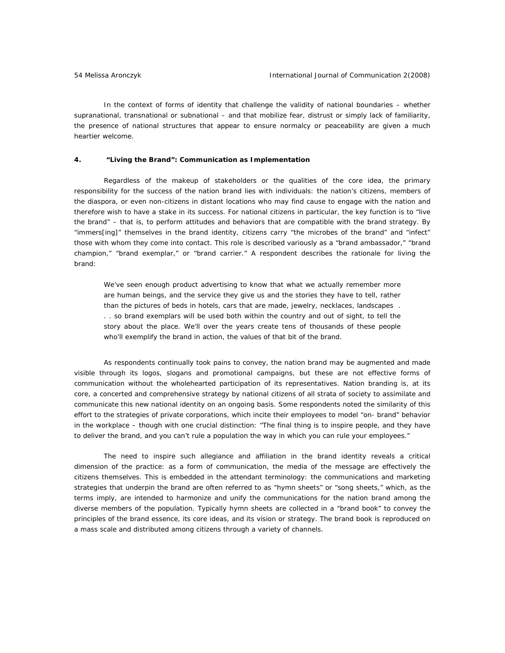In the context of forms of identity that challenge the validity of national boundaries – whether supranational, transnational or subnational – and that mobilize fear, distrust or simply lack of familiarity, the presence of national structures that appear to ensure normalcy or peaceability are given a much heartier welcome.

#### *4. "Living the Brand": Communication as Implementation*

Regardless of the makeup of stakeholders or the qualities of the core idea, the primary responsibility for the success of the nation brand lies with individuals: the nation's citizens, members of the diaspora, or even non-citizens in distant locations who may find cause to engage with the nation and therefore wish to have a stake in its success. For national citizens in particular, the key function is to "live the brand" – that is, to perform attitudes and behaviors that are compatible with the brand strategy. By "immers[ing]" themselves in the brand identity, citizens carry "the microbes of the brand" and "infect" those with whom they come into contact. This role is described variously as a "brand ambassador," "brand champion," "brand exemplar," or "brand carrier." A respondent describes the rationale for living the brand:

*We've seen enough product advertising to know that what we actually remember more are human beings, and the service they give us and the stories they have to tell, rather than the pictures of beds in hotels, cars that are made, jewelry, necklaces, landscapes . . . so brand exemplars will be used both within the country and out of sight, to tell the story about the place. We'll over the years create tens of thousands of these people who'll exemplify the brand in action, the values of that bit of the brand.* 

As respondents continually took pains to convey, the nation brand may be augmented and made visible through its logos, slogans and promotional campaigns, but these are not effective forms of communication without the wholehearted participation of its representatives. Nation branding is, at its core, a concerted and comprehensive strategy by national citizens of all strata of society to assimilate and communicate this new national identity on an ongoing basis. Some respondents noted the similarity of this effort to the strategies of private corporations, which incite their employees to model "on- brand" behavior in the workplace – though with one crucial distinction: "The final thing is to inspire people, and they have to deliver the brand, and you can't rule a population the way in which you can rule your employees."

The need to inspire such allegiance and affiliation in the brand identity reveals a critical dimension of the practice: as a form of communication, the media of the message are effectively the citizens themselves. This is embedded in the attendant terminology: the communications and marketing strategies that underpin the brand are often referred to as "hymn sheets" or "song sheets," which, as the terms imply, are intended to harmonize and unify the communications for the nation brand among the diverse members of the population. Typically hymn sheets are collected in a "brand book" to convey the principles of the brand essence, its core ideas, and its vision or strategy. The brand book is reproduced on a mass scale and distributed among citizens through a variety of channels.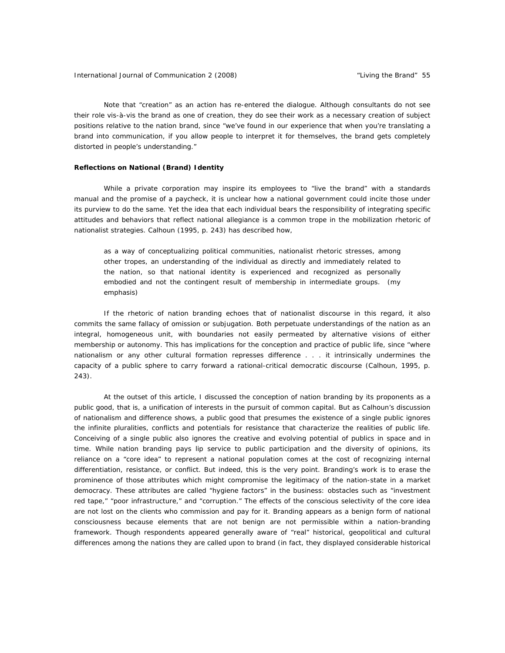Note that "creation" as an action has re-entered the dialogue. Although consultants do not see their role vis-à-vis the *brand* as one of creation, they do see their work as a necessary creation of *subject positions* relative to the nation brand, since "we've found in our experience that when you're translating a brand into communication, if you allow people to interpret it for themselves, the brand gets completely distorted in people's understanding."

### *Reflections on National (Brand) Identity*

While a private corporation may inspire its employees to "live the brand" with a standards manual and the promise of a paycheck, it is unclear how a national government could incite those under its purview to do the same. Yet the idea that each individual bears the responsibility of integrating specific attitudes and behaviors that reflect national allegiance is a common trope in the mobilization rhetoric of nationalist strategies. Calhoun (1995, p. 243) has described how,

*as a way of conceptualizing political communities, nationalist rhetoric stresses, among other tropes, an understanding of the individual as directly and immediately related to*  the nation, so that national identity is experienced and recognized as personally embodied *and not the contingent result of membership in intermediate groups.* (my emphasis)

If the rhetoric of nation branding echoes that of nationalist discourse in this regard, it also commits the same fallacy of omission or subjugation. Both perpetuate understandings of the nation as an integral, homogeneous unit, with boundaries not easily permeated by alternative visions of either membership or autonomy. This has implications for the conception and practice of public life, since "where nationalism or any other cultural formation represses difference . . . it intrinsically undermines the capacity of a public sphere to carry forward a rational-critical democratic discourse (Calhoun, 1995, p. 243).

At the outset of this article, I discussed the conception of nation branding by its proponents as a public good, that is, a unification of interests in the pursuit of common capital. But as Calhoun's discussion of nationalism and difference shows, a public good that presumes the existence of a single public ignores the infinite pluralities, conflicts and potentials for resistance that characterize the realities of public life. Conceiving of a single public also ignores the creative and evolving potential of publics in space and in time. While nation branding pays lip service to public participation and the diversity of opinions, its reliance on a "core idea" to represent a national population comes at the cost of recognizing internal differentiation, resistance, or conflict. But indeed, this is the very point. Branding's work is to erase the prominence of those attributes which might compromise the legitimacy of the nation-state in a market democracy. These attributes are called "hygiene factors" in the business: obstacles such as "investment red tape," "poor infrastructure," and "corruption." The effects of the conscious selectivity of the core idea are not lost on the clients who commission and pay for it. Branding appears as a benign form of national consciousness because elements that are not benign are not permissible within a nation-branding framework. Though respondents appeared generally aware of "real" historical, geopolitical and cultural differences among the nations they are called upon to brand (in fact, they displayed considerable historical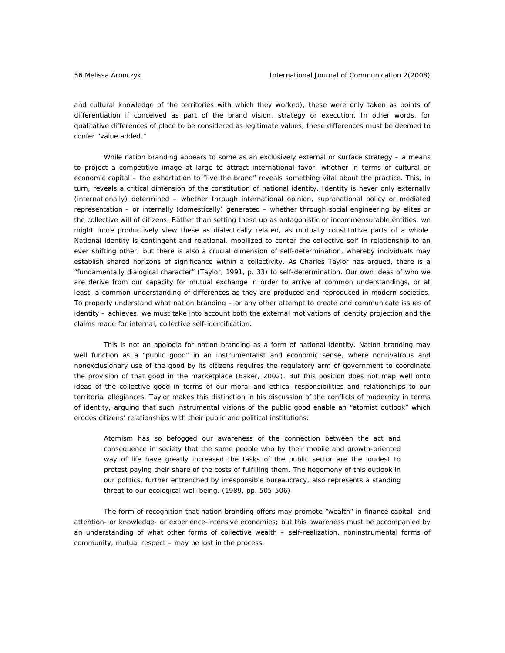and cultural knowledge of the territories with which they worked), these were only taken as points of differentiation if conceived as part of the brand vision, strategy or execution. In other words, for qualitative differences of place to be considered as legitimate values, these differences must be deemed to confer "value added."

While nation branding appears to some as an exclusively external or surface strategy – a means to project a competitive image at large to attract international favor, whether in terms of cultural or economic capital – the exhortation to "live the brand" reveals something vital about the practice. This, in turn, reveals a critical dimension of the constitution of national identity. Identity is never only *externally* (internationally) determined – whether through international opinion, supranational policy or mediated representation – or *internally* (domestically) generated – whether through social engineering by elites or the collective will of citizens. Rather than setting these up as antagonistic or incommensurable entities, we might more productively view these as dialectically related, as mutually constitutive parts of a whole. National identity is contingent and relational, mobilized to center the collective self in relationship to an ever shifting other; but there is also a crucial dimension of self-determination, whereby individuals may establish shared horizons of significance within a collectivity. As Charles Taylor has argued, there is a "fundamentally *dialogical* character" (Taylor, 1991, p. 33) to self-determination. Our own ideas of who we are derive from our capacity for mutual exchange in order to arrive at common understandings, or at least, a common understanding of differences as they are produced and reproduced in modern societies. To properly understand what nation branding – or any other attempt to create and communicate issues of identity – achieves, we must take into account both the external motivations of identity projection and the claims made for internal, collective self-identification.

This is not an apologia for nation branding as a form of national identity. Nation branding may well function as a "public good" in an instrumentalist and economic sense, where nonrivalrous and nonexclusionary use of the good by its citizens requires the regulatory arm of government to coordinate the provision of that good in the marketplace (Baker, 2002). But this position does not map well onto ideas of the collective good in terms of our moral and ethical responsibilities and relationships to our territorial allegiances. Taylor makes this distinction in his discussion of the conflicts of modernity in terms of identity, arguing that such instrumental visions of the public good enable an "atomist outlook" which erodes citizens' relationships with their public and political institutions:

*Atomism has so befogged our awareness of the connection between the act and consequence in society that the same people who by their mobile and growth-oriented way of life have greatly increased the tasks of the public sector are the loudest to protest paying their share of the costs of fulfilling them. The hegemony of this outlook in our politics, further entrenched by irresponsible bureaucracy, also represents a standing threat to our ecological well-being.* (1989, pp. 505-506)

The form of recognition that nation branding offers may promote "wealth" in finance capital- and attention- or knowledge- or experience-intensive economies; but this awareness must be accompanied by an understanding of what other forms of collective wealth – self-realization, noninstrumental forms of community, mutual respect – may be lost in the process.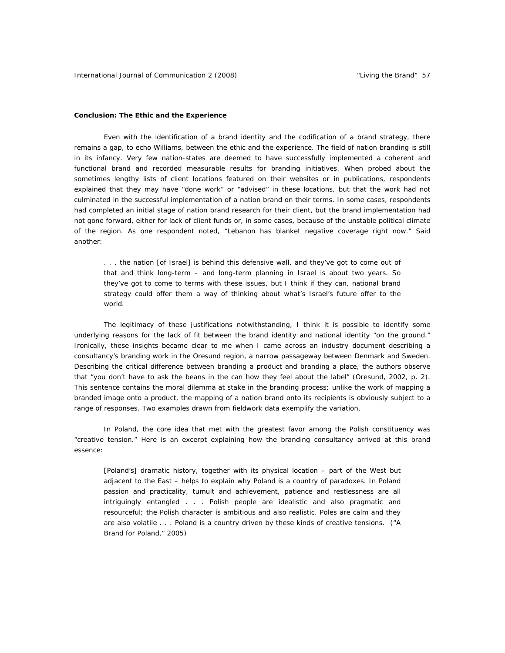#### *Conclusion: The Ethic and the Experience*

Even with the identification of a brand identity and the codification of a brand strategy, there remains a gap, to echo Williams, between the ethic and the experience. The field of nation branding is still in its infancy. Very few nation-states are deemed to have successfully implemented a coherent and functional brand and recorded measurable results for branding initiatives. When probed about the sometimes lengthy lists of client locations featured on their websites or in publications, respondents explained that they may have "done work" or "advised" in these locations, but that the work had not culminated in the successful implementation of a nation brand on their terms. In some cases, respondents had completed an initial stage of nation brand research for their client, but the brand implementation had not gone forward, either for lack of client funds or, in some cases, because of the unstable political climate of the region. As one respondent noted, "Lebanon has blanket negative coverage right now." Said another:

*. . . the nation [of Israel] is behind this defensive wall, and they've got to come out of that and think long-term – and long-term planning in Israel is about two years. So they've got to come to terms with these issues, but I think if they can, national brand strategy could offer them a way of thinking about what's Israel's future offer to the world.* 

The legitimacy of these justifications notwithstanding, I think it is possible to identify some underlying reasons for the lack of fit between the brand identity and national identity "on the ground." Ironically, these insights became clear to me when I came across an industry document describing a consultancy's branding work in the Oresund region, a narrow passageway between Denmark and Sweden. Describing the critical difference between branding a product and branding a place, the authors observe that "you don't have to ask the beans in the can how they feel about the label" (Oresund, 2002, p. 2). This sentence contains the moral dilemma at stake in the branding process; unlike the work of mapping a branded image onto a product, the mapping of a nation brand onto its recipients is obviously subject to a range of responses. Two examples drawn from fieldwork data exemplify the variation.

In Poland, the core idea that met with the greatest favor among the Polish constituency was "creative tension." Here is an excerpt explaining how the branding consultancy arrived at this brand essence:

*[Poland's] dramatic history, together with its physical location – part of the West but adjacent to the East – helps to explain why Poland is a country of paradoxes. In Poland passion and practicality, tumult and achievement, patience and restlessness are all intriguingly entangled . . . Polish people are idealistic and also pragmatic and resourceful; the Polish character is ambitious and also realistic. Poles are calm and they are also volatile . . . Poland is a country driven by these kinds of creative tensions*. ("A Brand for Poland," 2005)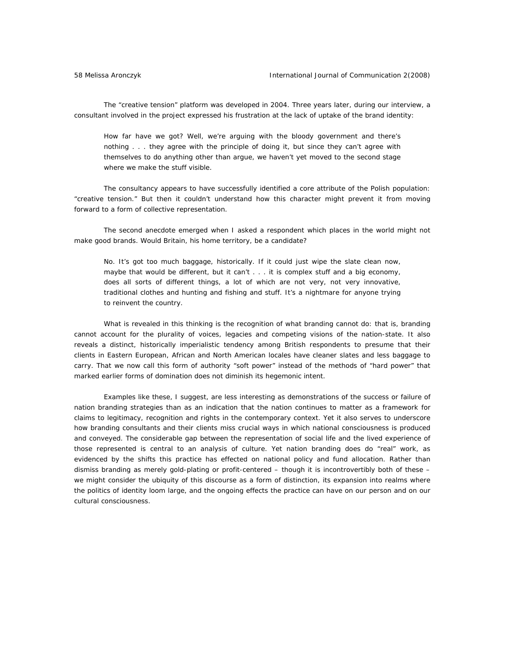The "creative tension" platform was developed in 2004. Three years later, during our interview, a consultant involved in the project expressed his frustration at the lack of uptake of the brand identity:

*How far have we got? Well, we're arguing with the bloody government and there's nothing . . . they agree with the principle of doing it, but since they can't agree with themselves to do anything other than argue, we haven't yet moved to the second stage where we make the stuff visible.* 

The consultancy appears to have successfully identified a core attribute of the Polish population: "creative tension." But then it couldn't understand how this character might prevent it from moving forward to a form of collective representation.

The second anecdote emerged when I asked a respondent which places in the world might *not* make good brands. Would Britain, his home territory, be a candidate?

*No. It's got too much baggage, historically. If it could just wipe the slate clean now, maybe that would be different, but it can't . . . it is complex stuff and a big economy, does all sorts of different things, a lot of which are not very, not very innovative, traditional clothes and hunting and fishing and stuff. It's a nightmare for anyone trying to reinvent the country.* 

What is revealed in this thinking is the recognition of what branding cannot do: that is, branding cannot account for the plurality of voices, legacies and competing visions of the nation-state. It also reveals a distinct, historically imperialistic tendency among British respondents to presume that their clients in Eastern European, African and North American locales have cleaner slates and less baggage to carry. That we now call this form of authority "soft power" instead of the methods of "hard power" that marked earlier forms of domination does not diminish its hegemonic intent.

Examples like these, I suggest, are less interesting as demonstrations of the success or failure of nation branding strategies than as an indication that the nation continues to matter as a framework for claims to legitimacy, recognition and rights in the contemporary context. Yet it also serves to underscore how branding consultants and their clients miss crucial ways in which national consciousness is produced and conveyed. The considerable gap between the representation of social life and the lived experience of those represented is central to an analysis of culture. Yet nation branding does do "real" work, as evidenced by the shifts this practice has effected on national policy and fund allocation. Rather than dismiss branding as merely gold-plating or profit-centered – though it is incontrovertibly both of these – we might consider the ubiquity of this discourse as a form of distinction, its expansion into realms where the politics of identity loom large, and the ongoing effects the practice can have on our person and on our cultural consciousness.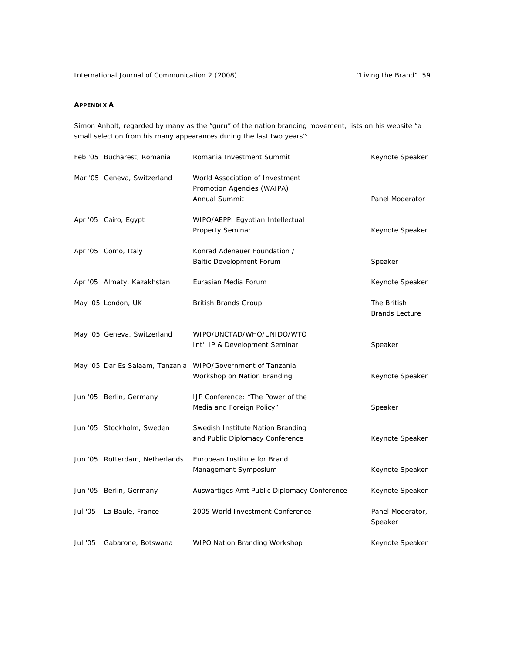## **APPENDIX A**

Simon Anholt, regarded by many as the "guru" of the nation branding movement, lists on his website "a small selection from his many appearances during the last two years":

|         | Feb '05 Bucharest, Romania     | Romania Investment Summit                                                                  | Keynote Speaker                      |
|---------|--------------------------------|--------------------------------------------------------------------------------------------|--------------------------------------|
|         | Mar '05 Geneva, Switzerland    | World Association of Investment<br>Promotion Agencies (WAIPA)<br>Annual Summit             | Panel Moderator                      |
|         | Apr '05 Cairo, Egypt           | WIPO/AEPPI Egyptian Intellectual<br>Property Seminar                                       | Keynote Speaker                      |
|         | Apr '05 Como, Italy            | Konrad Adenauer Foundation /<br>Baltic Development Forum                                   | Speaker                              |
|         | Apr '05 Almaty, Kazakhstan     | Eurasian Media Forum                                                                       | Keynote Speaker                      |
|         | May '05 London, UK             | <b>British Brands Group</b>                                                                | The British<br><b>Brands Lecture</b> |
|         | May '05 Geneva, Switzerland    | WIPO/UNCTAD/WHO/UNIDO/WTO<br>Int'l IP & Development Seminar                                | Speaker                              |
|         |                                | May '05 Dar Es Salaam, Tanzania WIPO/Government of Tanzania<br>Workshop on Nation Branding | Keynote Speaker                      |
|         | Jun '05 Berlin, Germany        | IJP Conference: "The Power of the<br>Media and Foreign Policy"                             | Speaker                              |
|         | Jun '05 Stockholm, Sweden      | Swedish Institute Nation Branding<br>and Public Diplomacy Conference                       | Keynote Speaker                      |
|         | Jun '05 Rotterdam, Netherlands | European Institute for Brand<br>Management Symposium                                       | Keynote Speaker                      |
|         | Jun '05 Berlin, Germany        | Auswärtiges Amt Public Diplomacy Conference                                                | Keynote Speaker                      |
| Jul '05 | La Baule, France               | 2005 World Investment Conference                                                           | Panel Moderator,<br>Speaker          |
| Jul '05 | Gabarone, Botswana             | WIPO Nation Branding Workshop                                                              | Keynote Speaker                      |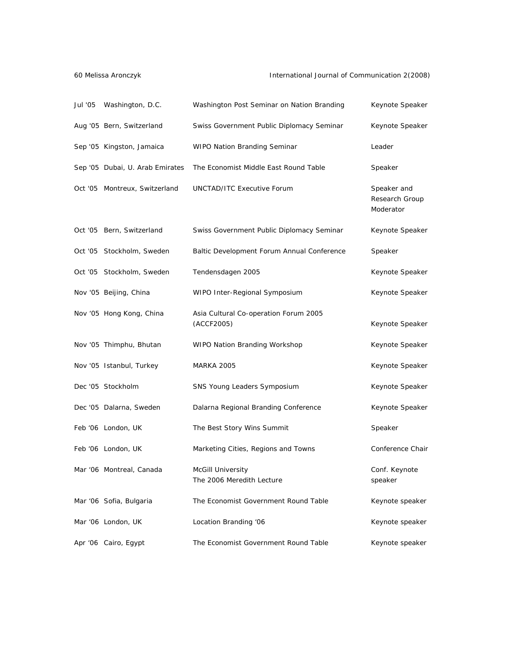## 60 Melissa Aronczyk International Journal of Communication 2(2008)

| Jul '05 | Washington, D.C.                | Washington Post Seminar on Nation Branding          | Keynote Speaker                            |
|---------|---------------------------------|-----------------------------------------------------|--------------------------------------------|
|         | Aug '05 Bern, Switzerland       | Swiss Government Public Diplomacy Seminar           | Keynote Speaker                            |
|         | Sep '05 Kingston, Jamaica       | WIPO Nation Branding Seminar                        | Leader                                     |
|         | Sep '05 Dubai, U. Arab Emirates | The Economist Middle East Round Table               | Speaker                                    |
|         | Oct '05 Montreux, Switzerland   | <b>UNCTAD/ITC Executive Forum</b>                   | Speaker and<br>Research Group<br>Moderator |
|         | Oct '05 Bern, Switzerland       | Swiss Government Public Diplomacy Seminar           | Keynote Speaker                            |
|         | Oct '05 Stockholm, Sweden       | Baltic Development Forum Annual Conference          | Speaker                                    |
|         | Oct '05 Stockholm, Sweden       | Tendensdagen 2005                                   | Keynote Speaker                            |
|         | Nov '05 Beijing, China          | WIPO Inter-Regional Symposium                       | Keynote Speaker                            |
|         | Nov '05 Hong Kong, China        | Asia Cultural Co-operation Forum 2005<br>(ACCF2005) | Keynote Speaker                            |
|         | Nov '05 Thimphu, Bhutan         | WIPO Nation Branding Workshop                       | Keynote Speaker                            |
|         | Nov '05 Istanbul, Turkey        | <b>MARKA 2005</b>                                   | Keynote Speaker                            |
|         | Dec '05 Stockholm               | SNS Young Leaders Symposium                         | Keynote Speaker                            |
|         | Dec '05 Dalarna, Sweden         | Dalarna Regional Branding Conference                | Keynote Speaker                            |
|         | Feb '06 London, UK              | The Best Story Wins Summit                          | Speaker                                    |
|         | Feb '06 London, UK              | Marketing Cities, Regions and Towns                 | Conference Chair                           |
|         | Mar '06 Montreal, Canada        | McGill University<br>The 2006 Meredith Lecture      | Conf. Keynote<br>speaker                   |
|         | Mar '06 Sofia, Bulgaria         | The Economist Government Round Table                | Keynote speaker                            |
|         | Mar '06 London, UK              | Location Branding '06                               | Keynote speaker                            |
|         | Apr '06 Cairo, Egypt            | The Economist Government Round Table                | Keynote speaker                            |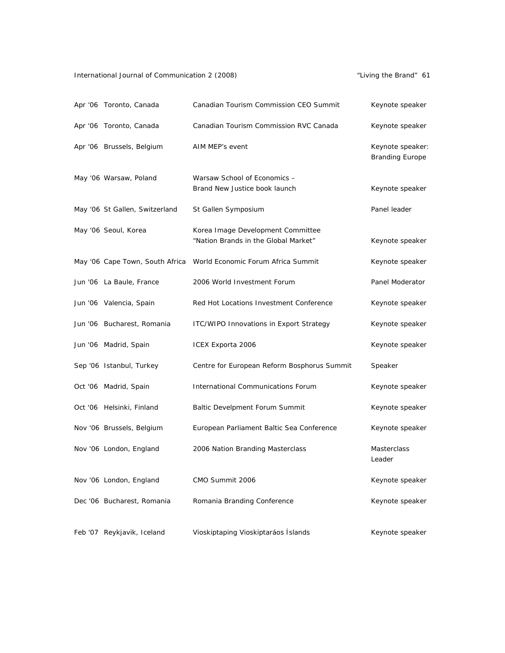## International Journal of Communication 2 (2008) The Communication 2 (2008)

| Apr '06 Toronto, Canada         | Canadian Tourism Commission CEO Summit                                    | Keynote speaker                            |
|---------------------------------|---------------------------------------------------------------------------|--------------------------------------------|
| Apr '06 Toronto, Canada         | Canadian Tourism Commission RVC Canada                                    | Keynote speaker                            |
| Apr '06 Brussels, Belgium       | AIM MEP's event                                                           | Keynote speaker:<br><b>Branding Europe</b> |
| May '06 Warsaw, Poland          | Warsaw School of Economics -<br>Brand New Justice book launch             | Keynote speaker                            |
| May '06 St Gallen, Switzerland  | St Gallen Symposium                                                       | Panel leader                               |
| May '06 Seoul, Korea            | Korea Image Development Committee<br>"Nation Brands in the Global Market" | Keynote speaker                            |
| May '06 Cape Town, South Africa | World Economic Forum Africa Summit                                        | Keynote speaker                            |
| Jun '06 La Baule, France        | 2006 World Investment Forum                                               | Panel Moderator                            |
| Jun '06 Valencia, Spain         | Red Hot Locations Investment Conference                                   | Keynote speaker                            |
| Jun '06 Bucharest, Romania      | ITC/WIPO Innovations in Export Strategy                                   | Keynote speaker                            |
| Jun '06 Madrid, Spain           | ICEX Exporta 2006                                                         | Keynote speaker                            |
| Sep '06 Istanbul, Turkey        | Centre for European Reform Bosphorus Summit                               | Speaker                                    |
| Oct '06 Madrid, Spain           | <b>International Communications Forum</b>                                 | Keynote speaker                            |
| Oct '06 Helsinki, Finland       | Baltic Develpment Forum Summit                                            | Keynote speaker                            |
| Nov '06 Brussels, Belgium       | European Parliament Baltic Sea Conference                                 | Keynote speaker                            |
| Nov '06 London, England         | 2006 Nation Branding Masterclass                                          | Masterclass<br>Leader                      |
| Nov '06 London, England         | CMO Summit 2006                                                           | Keynote speaker                            |
| Dec '06 Bucharest, Romania      | Romania Branding Conference                                               | Keynote speaker                            |
| Feb '07 Reykjavik, Iceland      | Vioskiptaping Vioskiptaráos Íslands                                       | Keynote speaker                            |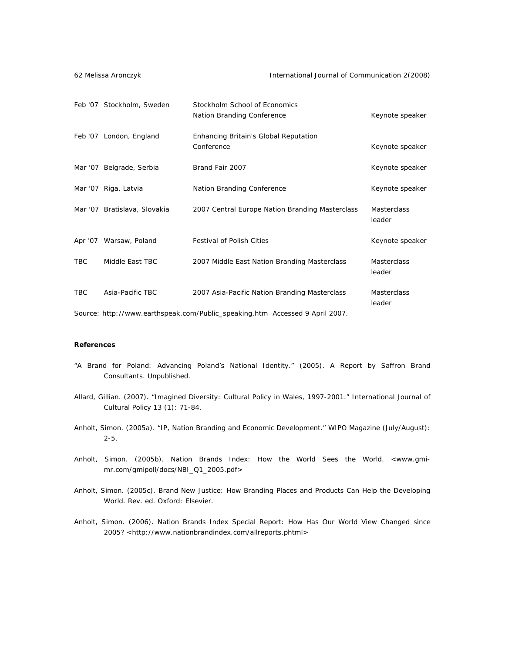|            | Feb '07 Stockholm, Sweden                                                    | Stockholm School of Economics<br>Nation Branding Conference | Keynote speaker              |  |
|------------|------------------------------------------------------------------------------|-------------------------------------------------------------|------------------------------|--|
|            | Feb '07 London, England                                                      | Enhancing Britain's Global Reputation<br>Conference         | Keynote speaker              |  |
|            | Mar '07 Belgrade, Serbia                                                     | Brand Fair 2007                                             | Keynote speaker              |  |
|            | Mar '07 Riga, Latvia                                                         | Nation Branding Conference                                  | Keynote speaker              |  |
|            | Mar '07 Bratislava, Slovakia                                                 | 2007 Central Europe Nation Branding Masterclass             | <b>Masterclass</b><br>leader |  |
|            | Apr '07 Warsaw, Poland                                                       | <b>Festival of Polish Cities</b>                            | Keynote speaker              |  |
| <b>TBC</b> | Middle East TBC                                                              | 2007 Middle East Nation Branding Masterclass                | <b>Masterclass</b><br>leader |  |
| <b>TBC</b> | Asia-Pacific TBC                                                             | 2007 Asia-Pacific Nation Branding Masterclass               | <b>Masterclass</b><br>leader |  |
|            | Source: http://www.earthspeak.com/Public_speaking.htm Accessed 9 April 2007. |                                                             |                              |  |

### **References**

- "A Brand for Poland: Advancing Poland's National Identity." (2005). A Report by Saffron Brand Consultants. Unpublished.
- Allard, Gillian. (2007). "Imagined Diversity: Cultural Policy in Wales, 1997-2001." *International Journal of Cultural Policy* 13 (1): 71-84.
- Anholt, Simon. (2005a). "IP, Nation Branding and Economic Development." *WIPO Magazine* (July/August): 2-5.
- Anholt, Simon. (2005b). *Nation Brands Index: How the World Sees the World.* <www.gmimr.com/gmipoll/docs/NBI\_Q1\_2005.pdf>
- Anholt, Simon. (2005c). *Brand New Justice: How Branding Places and Products Can Help the Developing World.* Rev. ed. Oxford: Elsevier.
- Anholt, Simon. (2006). *Nation Brands Index Special Report: How Has Our World View Changed since 2005?* <http://www.nationbrandindex.com/allreports.phtml>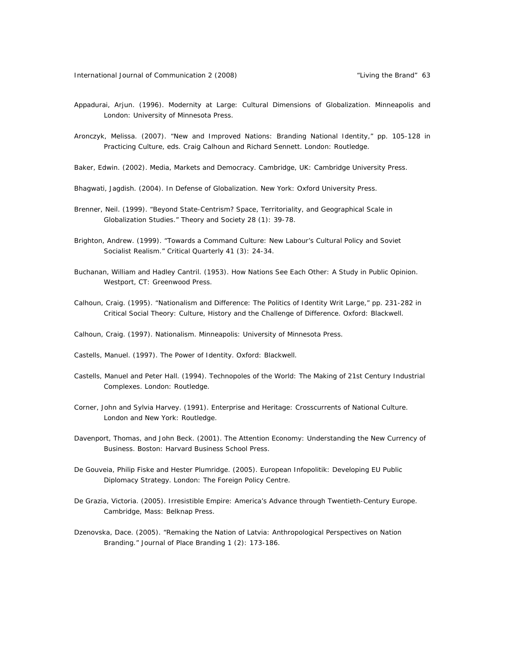- Appadurai, Arjun. (1996). *Modernity at Large: Cultural Dimensions of Globalization.* Minneapolis and London: University of Minnesota Press.
- Aronczyk, Melissa. (2007). "New and Improved Nations: Branding National Identity," pp. 105-128 in *Practicing Culture,* eds. Craig Calhoun and Richard Sennett. London: Routledge.
- Baker, Edwin. (2002). *Media, Markets and Democracy.* Cambridge, UK: Cambridge University Press.
- Bhagwati, Jagdish. (2004). *In Defense of Globalization.* New York: Oxford University Press.
- Brenner, Neil. (1999). "Beyond State-Centrism? Space, Territoriality, and Geographical Scale in Globalization Studies." *Theory and Society* 28 (1): 39-78.
- Brighton, Andrew. (1999). "Towards a Command Culture: New Labour's Cultural Policy and Soviet Socialist Realism." *Critical Quarterly* 41 (3): 24-34.
- Buchanan, William and Hadley Cantril. (1953). *How Nations See Each Other: A Study in Public Opinion.*  Westport, CT: Greenwood Press.
- Calhoun, Craig. (1995). "Nationalism and Difference: The Politics of Identity Writ Large," pp. 231-282 in *Critical Social Theory: Culture, History and the Challenge of Difference.* Oxford: Blackwell.
- Calhoun, Craig. (1997). *Nationalism.* Minneapolis: University of Minnesota Press.
- Castells, Manuel. (1997). *The Power of Identity.* Oxford: Blackwell.
- Castells, Manuel and Peter Hall. (1994). *Technopoles of the World: The Making of 21st Century Industrial Complexes.* London: Routledge.
- Corner, John and Sylvia Harvey. (1991). *Enterprise and Heritage: Crosscurrents of National Culture.* London and New York: Routledge.
- Davenport, Thomas, and John Beck. (2001). *The Attention Economy: Understanding the New Currency of Business.* Boston: Harvard Business School Press.
- De Gouveia, Philip Fiske and Hester Plumridge. (2005). *European Infopolitik: Developing EU Public Diplomacy Strategy.* London: The Foreign Policy Centre.
- De Grazia, Victoria. (2005). *Irresistible Empire: America's Advance through Twentieth-Century Europe.*  Cambridge, Mass: Belknap Press.
- Dzenovska, Dace. (2005). "Remaking the Nation of Latvia: Anthropological Perspectives on Nation Branding." *Journal of Place Branding* 1 (2): 173-186.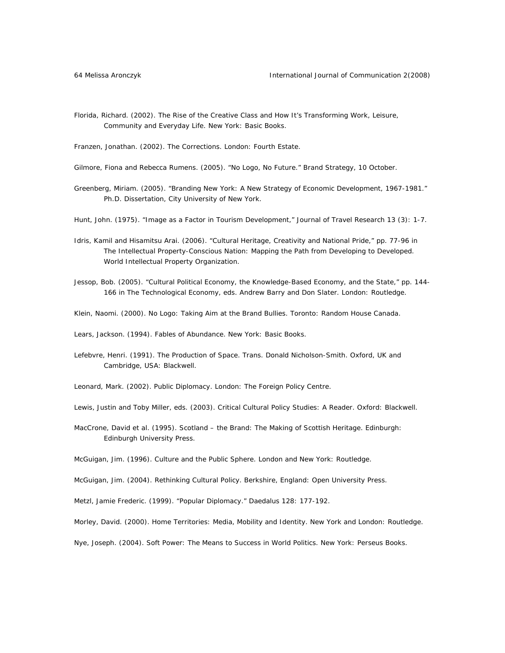Florida, Richard. (2002). *The Rise of the Creative Class and How It's Transforming Work, Leisure, Community and Everyday Life.* New York: Basic Books.

Franzen, Jonathan. (2002). *The Corrections.* London: Fourth Estate.

- Gilmore, Fiona and Rebecca Rumens. (2005). "No Logo, No Future." *Brand Strategy,* 10 October.
- Greenberg, Miriam. (2005). "Branding New York: A New Strategy of Economic Development, 1967-1981." Ph.D. Dissertation, City University of New York.
- Hunt, John. (1975). "Image as a Factor in Tourism Development," *Journal of Travel Research* 13 (3): 1-7.
- Idris, Kamil and Hisamitsu Arai. (2006). "Cultural Heritage, Creativity and National Pride," pp. 77-96 in *The Intellectual Property-Conscious Nation: Mapping the Path from Developing to Developed.* World Intellectual Property Organization.
- Jessop, Bob. (2005). "Cultural Political Economy, the Knowledge-Based Economy, and the State," pp. 144- 166 in *The Technological Economy,* eds. Andrew Barry and Don Slater. London: Routledge.
- Klein, Naomi. (2000). *No Logo: Taking Aim at the Brand Bullies.* Toronto: Random House Canada.

Lears*,* Jackson. (1994). *Fables of Abundance.* New York: Basic Books.

- Lefebvre, Henri. (1991). *The Production of Space.* Trans. Donald Nicholson-Smith. Oxford, UK and Cambridge, USA: Blackwell.
- Leonard, Mark. (2002). *Public Diplomacy.* London: The Foreign Policy Centre.
- Lewis, Justin and Toby Miller, eds. (2003). *Critical Cultural Policy Studies: A Reader.* Oxford: Blackwell.
- MacCrone, David et al. (1995). *Scotland the Brand: The Making of Scottish Heritage.* Edinburgh: Edinburgh University Press.

McGuigan, Jim. (1996). *Culture and the Public Sphere.* London and New York: Routledge.

McGuigan, Jim. (2004). *Rethinking Cultural Policy.* Berkshire, England: Open University Press.

Metzl, Jamie Frederic. (1999). "Popular Diplomacy." *Daedalus* 128: 177-192.

Morley, David. (2000). *Home Territories: Media, Mobility and Identity.* New York and London: Routledge.

Nye, Joseph. (2004). *Soft Power: The Means to Success in World Politics.* New York: Perseus Books.